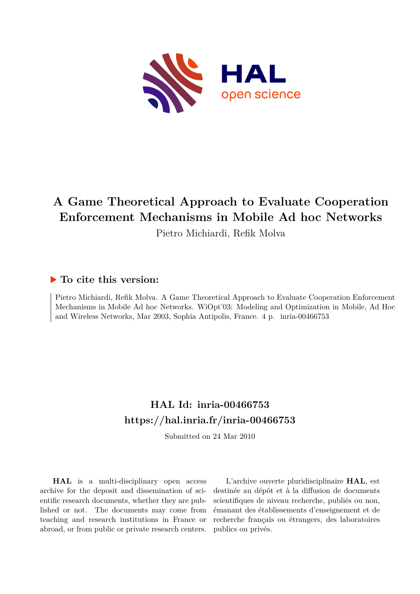

# **A Game Theoretical Approach to Evaluate Cooperation Enforcement Mechanisms in Mobile Ad hoc Networks**

Pietro Michiardi, Refik Molva

### **To cite this version:**

Pietro Michiardi, Refik Molva. A Game Theoretical Approach to Evaluate Cooperation Enforcement Mechanisms in Mobile Ad hoc Networks. WiOpt'03: Modeling and Optimization in Mobile, Ad Hoc and Wireless Networks, Mar 2003, Sophia Antipolis, France. 4 p. inria-00466753

## **HAL Id: inria-00466753 <https://hal.inria.fr/inria-00466753>**

Submitted on 24 Mar 2010

**HAL** is a multi-disciplinary open access archive for the deposit and dissemination of scientific research documents, whether they are published or not. The documents may come from teaching and research institutions in France or abroad, or from public or private research centers.

L'archive ouverte pluridisciplinaire **HAL**, est destinée au dépôt et à la diffusion de documents scientifiques de niveau recherche, publiés ou non, émanant des établissements d'enseignement et de recherche français ou étrangers, des laboratoires publics ou privés.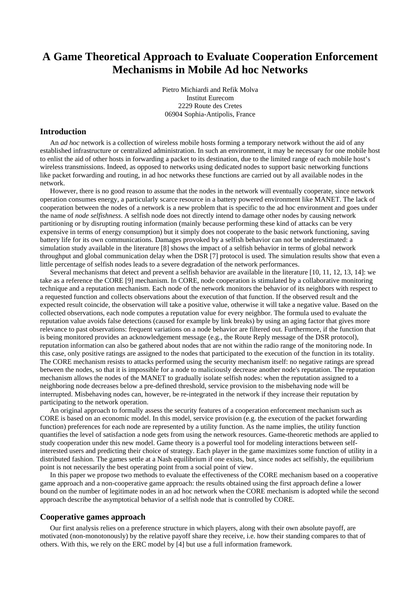## **A Game Theoretical Approach to Evaluate Cooperation Enforcement Mechanisms in Mobile Ad hoc Networks**

Pietro Michiardi and Refik Molva Institut Eurecom 2229 Route des Cretes 06904 Sophia-Antipolis, France

#### **Introduction**

An *ad hoc* network is a collection of wireless mobile hosts forming a temporary network without the aid of any established infrastructure or centralized administration. In such an environment, it may be necessary for one mobile host to enlist the aid of other hosts in forwarding a packet to its destination, due to the limited range of each mobile host's wireless transmissions. Indeed, as opposed to networks using dedicated nodes to support basic networking functions like packet forwarding and routing, in ad hoc networks these functions are carried out by all available nodes in the network.

However, there is no good reason to assume that the nodes in the network will eventually cooperate, since network operation consumes energy, a particularly scarce resource in a battery powered environment like MANET. The lack of cooperation between the nodes of a network is a new problem that is specific to the ad hoc environment and goes under the name of *node selfishness*. A selfish node does not directly intend to damage other nodes by causing network partitioning or by disrupting routing information (mainly because performing these kind of attacks can be very expensive in terms of energy consumption) but it simply does not cooperate to the basic network functioning, saving battery life for its own communications. Damages provoked by a selfish behavior can not be underestimated: a simulation study available in the literature [8] shows the impact of a selfish behavior in terms of global network throughput and global communication delay when the DSR [7] protocol is used. The simulation results show that even a little percentage of selfish nodes leads to a severe degradation of the network performances.

Several mechanisms that detect and prevent a selfish behavior are available in the literature [10, 11, 12, 13, 14]: we take as a reference the CORE [9] mechanism. In CORE, node cooperation is stimulated by a collaborative monitoring technique and a reputation mechanism. Each node of the network monitors the behavior of its neighbors with respect to a requested function and collects observations about the execution of that function. If the observed result and the expected result coincide, the observation will take a positive value, otherwise it will take a negative value. Based on the collected observations, each node computes a reputation value for every neighbor. The formula used to evaluate the reputation value avoids false detections (caused for example by link breaks) by using an aging factor that gives more relevance to past observations: frequent variations on a node behavior are filtered out. Furthermore, if the function that is being monitored provides an acknowledgement message (e.g., the Route Reply message of the DSR protocol), reputation information can also be gathered about nodes that are not within the radio range of the monitoring node. In this case, only positive ratings are assigned to the nodes that participated to the execution of the function in its totality. The CORE mechanism resists to attacks performed using the security mechanism itself: no negative ratings are spread between the nodes, so that it is impossible for a node to maliciously decrease another node's reputation. The reputation mechanism allows the nodes of the MANET to gradually isolate selfish nodes: when the reputation assigned to a neighboring node decreases below a pre-defined threshold, service provision to the misbehaving node will be interrupted. Misbehaving nodes can, however, be re-integrated in the network if they increase their reputation by participating to the network operation.

An original approach to formally assess the security features of a cooperation enforcement mechanism such as CORE is based on an economic model. In this model, service provision (e.g. the execution of the packet forwarding function) preferences for each node are represented by a utility function. As the name implies, the utility function quantifies the level of satisfaction a node gets from using the network resources. Game-theoretic methods are applied to study cooperation under this new model. Game theory is a powerful tool for modeling interactions between selfinterested users and predicting their choice of strategy. Each player in the game maximizes some function of utility in a distributed fashion. The games settle at a Nash equilibrium if one exists, but, since nodes act selfishly, the equilibrium point is not necessarily the best operating point from a social point of view.

In this paper we propose two methods to evaluate the effectiveness of the CORE mechanism based on a cooperative game approach and a non-cooperative game approach: the results obtained using the first approach define a lower bound on the number of legitimate nodes in an ad hoc network when the CORE mechanism is adopted while the second approach describe the asymptotical behavior of a selfish node that is controlled by CORE.

#### **Cooperative games approach**

Our first analysis relies on a preference structure in which players, along with their own absolute payoff, are motivated (non-monotonously) by the relative payoff share they receive, i.e. how their standing compares to that of others. With this, we rely on the ERC model by [4] but use a full information framework.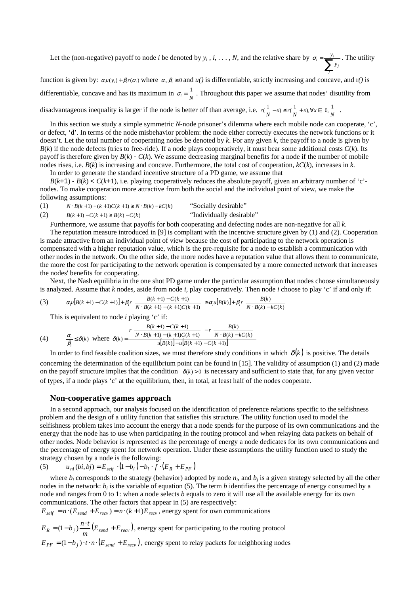Let the (non-negative) payoff to node *i* be denoted by  $y_i$ ,  $i, ..., N$ , and the relative share by  $\sigma_i = \sum_{i=1}^{y_i}$ *j j*  $i = \sum_{i=1}^{y_i} y_i$  $\sigma_i = \frac{y_i}{\sqrt{2}}$ . The utility

function is given by:  $\alpha_i u(y_i) + \beta_i r(\sigma_i)$  where  $\alpha_i, \beta_i \ge 0$  and  $u(i)$  is differentiable, strictly increasing and concave, and r() is differentiable, concave and has its maximum in  $\sigma_i = \frac{1}{N}$ . Throughout this paper we assume that nodes' disutility from

disadvantageous inequality is larger if the node is better off than average, i.e.  $r(\frac{1}{N}-x) \le r(\frac{1}{N}+x)$ ,  $\forall x \in \left[0,\frac{1}{N}\right]$  $\left[0,\frac{1}{N}\right]$  $r\left(\frac{1}{N} - x\right) \le r\left(\frac{1}{N} + x\right), \forall x \in \left[0, \frac{1}{N}\right].$ 

In this section we study a simple symmetric *N*-node prisoner's dilemma where each mobile node can cooperate, 'c', or defect, 'd'. In terms of the node misbehavior problem: the node either correctly executes the network functions or it doesn't. Let the total number of cooperating nodes be denoted by *k*. For any given *k*, the payoff to a node is given by  $B(k)$  if the node defects (tries to free-ride). If a node plays cooperatively, it must bear some additional costs  $C(k)$ . Its payoff is therefore given by  $B(k)$  -  $C(k)$ . We assume decreasing marginal benefits for a node if the number of mobile nodes rises, i.e. *B*(*k*) is increasing and concave. Furthermore, the total cost of cooperation, *kC*(*k*), increases in *k*.

In order to generate the standard incentive structure of a PD game, we assume that

 $B(k+1)$  -  $B(k) < C(k+1)$ , i.e. playing cooperatively reduces the absolute payoff, given an arbitrary number of 'c'nodes. To make cooperation more attractive from both the social and the individual point of view, we make the following assumptions:

(1) 
$$
N \cdot B(k+1) - (k+1)C(k+1) \ge N \cdot B(k) - kC(k)
$$
 "Socially desirable"  
\n(2)  $B(k+1) - C(k+1) \ge B(k) - C(k)$  "Individually desirable"

Furthermore, we assume that payoffs for both cooperating and defecting nodes are non-negative for all *k*.

The reputation measure introduced in [9] is compliant with the incentive structure given by (1) and (2). Cooperation is made attractive from an individual point of view because the cost of participating to the network operation is compensated with a higher reputation value, which is the pre-requisite for a node to establish a communication with other nodes in the network. On the other side, the more nodes have a reputation value that allows them to communicate, the more the cost for participating to the network operation is compensated by a more connected network that increases the nodes'benefits for cooperating.

Next, the Nash equilibria in the one shot PD game under the particular assumption that nodes choose simultaneously is analyzed. Assume that *k* nodes, aside from node *i*, play cooperatively. Then node *i* choose to play 'c' if and only if:

(3) 
$$
\alpha_i u[B(k+1) - C(k+1)] + \beta_i r \left[ \frac{B(k+1) - C(k+1)}{N \cdot B(k+1) - (k+1)C(k+1)} \right] \geq \alpha_i u[B(k)] + \beta_i r \left[ \frac{B(k)}{N \cdot B(k) - kC(k)} \right]
$$

This is equivalent to node *i* playing 'c' if:

(4) 
$$
\frac{\alpha_i}{\beta_i} \le \delta(k) \text{ where } \delta(k) = \frac{r \left[ \frac{B(k+1) - C(k+1)}{N \cdot B(k+1) - (k+1)C(k+1)} \right] - r \left[ \frac{B(k)}{N \cdot B(k) - kC(k)} \right]}{u[B(k)] - u[B(k+1) - C(k+1)]}
$$

In order to find feasible coalition sizes, we must therefore study conditions in which  $\delta(k)$  is positive. The details concerning the determination of the equilibrium point can be found in [15]. The validity of assumption (1) and (2) made on the payoff structure implies that the condition  $\delta(k) > 0$  is necessary and sufficient to state that, for any given vector of types, if a node plays 'c' at the equilibrium, then, in total, at least half of the nodes cooperate.

#### **Non-cooperative games approach**

In a second approach, our analysis focused on the identification of preference relations specific to the selfishness problem and the design of a utility function that satisfies this structure. The utility function used to model the selfishness problem takes into account the energy that a node spends for the purpose of its own communications and the energy that the node has to use when participating in the routing protocol and when relaying data packets on behalf of other nodes. Node behavior is represented as the percentage of energy a node dedicates for its own communications and the percentage of energy spent for network operation. Under these assumptions the utility function used to study the strategy chosen by a node is the following:

(5) 
$$
u_{ni}(bi, bj) = E_{self} \cdot (1 - b_i) - b_i \cdot f \cdot (E_R + E_{PF})
$$

where  $b_i$  corresponds to the strategy (behavior) adopted by node  $n_i$ , and  $b_j$  is a given strategy selected by all the other nodes in the network:  $b_i$  is the variable of equation (5). The term  $b$  identifies the percentage of energy consumed by a node and ranges from 0 to 1: when a node selects *b* equals to zero it will use all the available energy for its own communications. The other factors that appear in (5) are respectively:

 $E_{self} = n \cdot (E_{send} + E_{recv}) = n \cdot (k+1) E_{recv}$ , energy spent for own communications

$$
E_R = (1 - b_j) \frac{n \cdot t}{m} (E_{send} + E_{recv}),
$$
 energy spent for participating to the routing protocol  

$$
E_{PF} = (1 - b_j) \cdot t \cdot n \cdot (E_{send} + E_{recv}),
$$
 energy spent to relay packets for neighboring nodes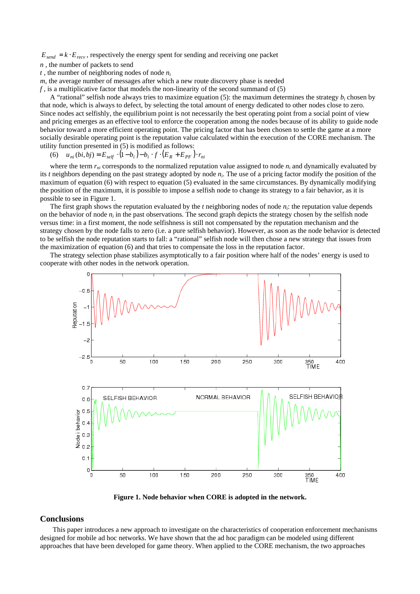$E_{send} = k \cdot E_{recv}$ , respectively the energy spent for sending and receiving one packet

*n* , the number of packets to send

 $t$ , the number of neighboring nodes of node  $n_i$ 

*m*, the average number of messages after which a new route discovery phase is needed

*f* , is a multiplicative factor that models the non-linearity of the second summand of (5)

A "rational" selfish node always tries to maximize equation (5): the maximum determines the strategy *b<sup>i</sup>* chosen by that node, which is always to defect, by selecting the total amount of energy dedicated to other nodes close to zero. Since nodes act selfishly, the equilibrium point is not necessarily the best operating point from a social point of view and pricing emerges as an effective tool to enforce the cooperation among the nodes because of its ability to guide node behavior toward a more efficient operating point. The pricing factor that has been chosen to settle the game at a more socially desirable operating point is the reputation value calculated within the execution of the CORE mechanism. The utility function presented in (5) is modified as follows:

(6)  $u_{ni} ( bi, bj ) = E_{self} \cdot (1 - b_i) - b_i \cdot f \cdot (E_R + E_{PF}) \cdot r_{ni}$ 

where the term  $r_{ni}$  corresponds to the normalized reputation value assigned to node  $n_i$  and dynamically evaluated by its *t* neighbors depending on the past strategy adopted by node *n<sup>i</sup>* . The use of a pricing factor modify the position of the maximum of equation (6) with respect to equation (5) evaluated in the same circumstances. By dynamically modifying the position of the maximum, it is possible to impose a selfish node to change its strategy to a fair behavior, as it is possible to see in Figure 1.

The first graph shows the reputation evaluated by the *t* neighboring nodes of node *n<sup>i</sup>* : the reputation value depends on the behavior of node  $n_i$  in the past observations. The second graph depicts the strategy chosen by the selfish node versus time: in a first moment, the node selfishness is still not compensated by the reputation mechanism and the strategy chosen by the node falls to zero (i.e. a pure selfish behavior). However, as soon as the node behavior is detected to be selfish the node reputation starts to fall: a "rational" selfish node will then chose a new strategy that issues from the maximization of equation (6) and that tries to compensate the loss in the reputation factor.

The strategy selection phase stabilizes asymptotically to a fair position where half of the nodes' energy is used to cooperate with other nodes in the network operation.



**Figure 1. Node behavior when CORE is adopted in the network.**

#### **Conclusions**

This paper introduces a new approach to investigate on the characteristics of cooperation enforcement mechanisms designed for mobile ad hoc networks. We have shown that the ad hoc paradigm can be modeled using different approaches that have been developed for game theory. When applied to the CORE mechanism, the two approaches